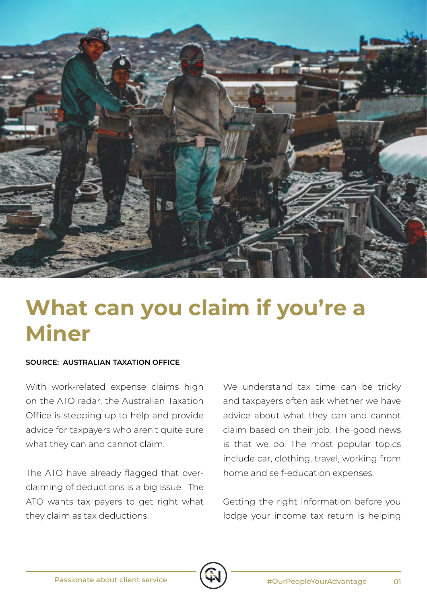

## **What can you claim if you're a Miner**

## **SOURCE: AUSTRALIAN TAXATION OFFICE**

With work-related expense claims high on the ATO radar, the Australian Taxation Office is stepping up to help and provide advice for taxpayers who aren't quite sure what they can and cannot claim.

The ATO have already flagged that overclaiming of deductions is a big issue. The ATO wants tax payers to get right what they claim as tax deductions.

We understand tax time can be tricky and taxpayers often ask whether we have advice about what they can and cannot claim based on their job. The good news is that we do. The most popular topics include car, clothing, travel, working from home and self-education expenses.

Getting the right information before you lodge your income tax return is helping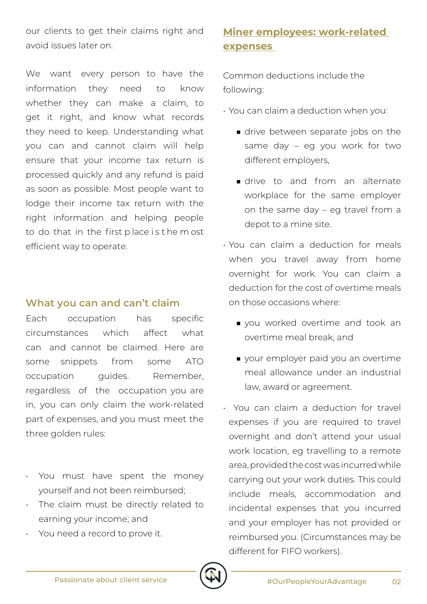our clients to get their claims right and avoid issues later on.

We want every person to have the information they need to know whether they can make a claim, to get it right, and know what records they need to keep. Understanding what you can and cannot claim will help ensure that your income tax return is processed quickly and any refund is paid as soon as possible. Most people want to lodge their income tax return with the right information and helping people to do that in the first p lace i s t he m ost efficient way to operate.

## **What you can and can't claim**

Each occupation has specific circumstances which affect what can and cannot be claimed. Here are some snippets from some ATO occupation quides. Remember, regardless of the occupation you are in, you can only claim the work-related part of expenses, and you must meet the three golden rules:

- You must have spent the money yourself and not been reimbursed;
- The claim must be directly related to earning your income; and
- You need a record to prove it.

## **Miner employees: work-related expenses**

Common deductions include the following:

- You can claim a deduction when you:
	- drive between separate jobs on the same day – eg you work for two different employers,
	- drive to and from an alternate workplace for the same employer on the same day – eg travel from a depot to a mine site.
- You can claim a deduction for meals when you travel away from home overnight for work. You can claim a deduction for the cost of overtime meals on those occasions where:
	- you worked overtime and took an overtime meal break, and
	- your employer paid you an overtime meal allowance under an industrial law, award or agreement.
- You can claim a deduction for travel expenses if you are required to travel overnight and don't attend your usual work location, eg travelling to a remote area, provided the cost was incurred while carrying out your work duties. This could include meals, accommodation and incidental expenses that you incurred and your employer has not provided or reimbursed you. (Circumstances may be different for FIFO workers).